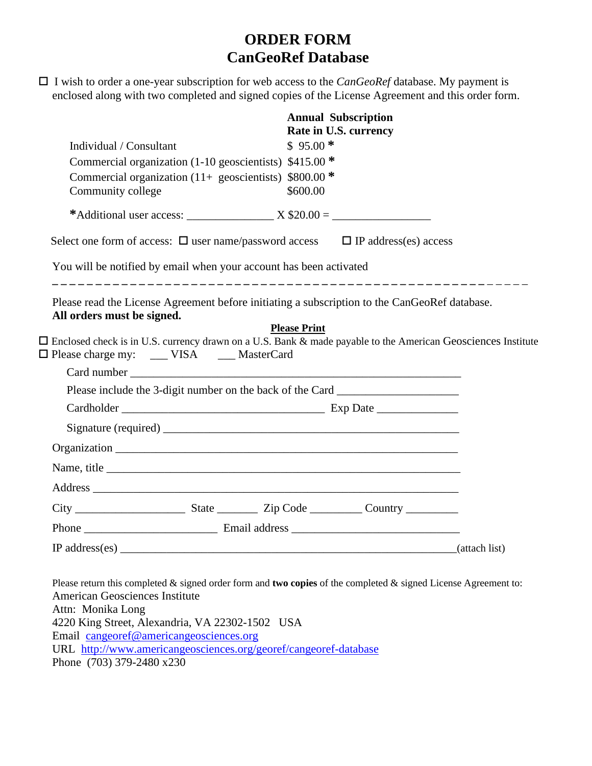# **ORDER FORM CanGeoRef Database**

| $\Box$ I wish to order a one-year subscription for web access to the <i>CanGeoRef</i> database. My payment is |  |
|---------------------------------------------------------------------------------------------------------------|--|
| enclosed along with two completed and signed copies of the License Agreement and this order form.             |  |

|                                                                                                                                                                                                                                                                                                                        |  |           | <b>Annual Subscription</b><br>Rate in U.S. currency |  |  |  |  |
|------------------------------------------------------------------------------------------------------------------------------------------------------------------------------------------------------------------------------------------------------------------------------------------------------------------------|--|-----------|-----------------------------------------------------|--|--|--|--|
| Individual / Consultant                                                                                                                                                                                                                                                                                                |  | $$95.00*$ |                                                     |  |  |  |  |
| Commercial organization (1-10 geoscientists) \$415.00 *                                                                                                                                                                                                                                                                |  |           |                                                     |  |  |  |  |
| Commercial organization (11+ geoscientists) $$800.00$ *                                                                                                                                                                                                                                                                |  |           |                                                     |  |  |  |  |
| Community college                                                                                                                                                                                                                                                                                                      |  | \$600.00  |                                                     |  |  |  |  |
|                                                                                                                                                                                                                                                                                                                        |  |           |                                                     |  |  |  |  |
| Select one form of access: $\Box$ user name/password access $\Box$ IP address(es) access                                                                                                                                                                                                                               |  |           |                                                     |  |  |  |  |
| You will be notified by email when your account has been activated                                                                                                                                                                                                                                                     |  |           |                                                     |  |  |  |  |
| Please read the License Agreement before initiating a subscription to the CanGeoRef database.<br>All orders must be signed.<br><b>Please Print</b><br>□ Enclosed check is in U.S. currency drawn on a U.S. Bank & made payable to the American Geosciences Institute<br>□ Please charge my: ____ VISA _____ MasterCard |  |           |                                                     |  |  |  |  |
|                                                                                                                                                                                                                                                                                                                        |  |           |                                                     |  |  |  |  |
| Please include the 3-digit number on the back of the Card _______________________                                                                                                                                                                                                                                      |  |           |                                                     |  |  |  |  |
|                                                                                                                                                                                                                                                                                                                        |  |           |                                                     |  |  |  |  |
|                                                                                                                                                                                                                                                                                                                        |  |           |                                                     |  |  |  |  |
|                                                                                                                                                                                                                                                                                                                        |  |           |                                                     |  |  |  |  |
| Name, title                                                                                                                                                                                                                                                                                                            |  |           |                                                     |  |  |  |  |
|                                                                                                                                                                                                                                                                                                                        |  |           |                                                     |  |  |  |  |
|                                                                                                                                                                                                                                                                                                                        |  |           |                                                     |  |  |  |  |
|                                                                                                                                                                                                                                                                                                                        |  |           |                                                     |  |  |  |  |
|                                                                                                                                                                                                                                                                                                                        |  |           |                                                     |  |  |  |  |

Please return this completed & signed order form and **two copies** of the completed & signed License Agreement to: American Geosciences Institute Attn: Monika Long 4220 King Street, Alexandria, VA 22302-1502 USA Email [cangeoref@americangeosciences.org](mailto:cangeoref@agiweb.org) URL <http://www.americangeosciences.org/georef/cangeoref-database> Phone (703) 379-2480 x230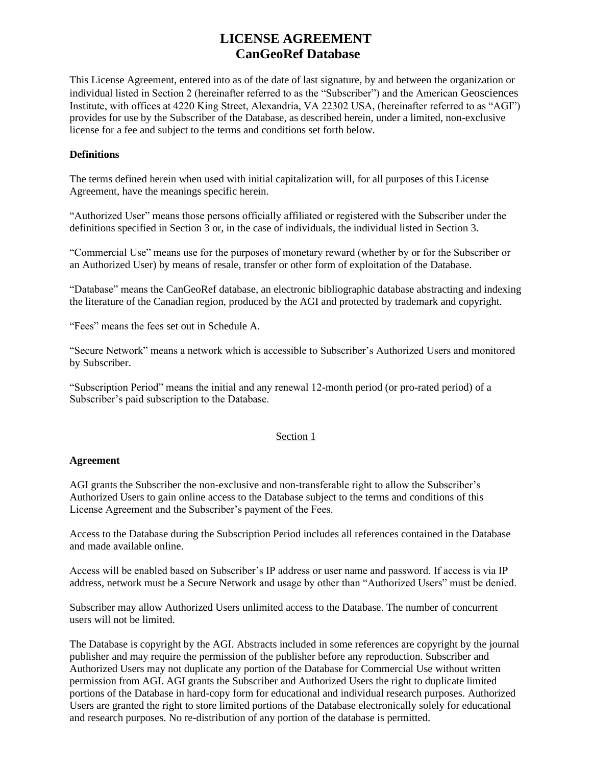# **LICENSE AGREEMENT CanGeoRef Database**

This License Agreement, entered into as of the date of last signature, by and between the organization or individual listed in Section 2 (hereinafter referred to as the "Subscriber") and the American Geosciences Institute, with offices at 4220 King Street, Alexandria, VA 22302 USA, (hereinafter referred to as "AGI") provides for use by the Subscriber of the Database, as described herein, under a limited, non-exclusive license for a fee and subject to the terms and conditions set forth below.

# **Definitions**

The terms defined herein when used with initial capitalization will, for all purposes of this License Agreement, have the meanings specific herein.

"Authorized User" means those persons officially affiliated or registered with the Subscriber under the definitions specified in Section 3 or, in the case of individuals, the individual listed in Section 3.

"Commercial Use" means use for the purposes of monetary reward (whether by or for the Subscriber or an Authorized User) by means of resale, transfer or other form of exploitation of the Database.

"Database" means the CanGeoRef database, an electronic bibliographic database abstracting and indexing the literature of the Canadian region, produced by the AGI and protected by trademark and copyright.

"Fees" means the fees set out in Schedule A.

"Secure Network" means a network which is accessible to Subscriber's Authorized Users and monitored by Subscriber.

"Subscription Period" means the initial and any renewal 12-month period (or pro-rated period) of a Subscriber's paid subscription to the Database.

# Section 1

#### **Agreement**

AGI grants the Subscriber the non-exclusive and non-transferable right to allow the Subscriber's Authorized Users to gain online access to the Database subject to the terms and conditions of this License Agreement and the Subscriber's payment of the Fees.

Access to the Database during the Subscription Period includes all references contained in the Database and made available online.

Access will be enabled based on Subscriber's IP address or user name and password. If access is via IP address, network must be a Secure Network and usage by other than "Authorized Users" must be denied.

Subscriber may allow Authorized Users unlimited access to the Database. The number of concurrent users will not be limited.

The Database is copyright by the AGI. Abstracts included in some references are copyright by the journal publisher and may require the permission of the publisher before any reproduction. Subscriber and Authorized Users may not duplicate any portion of the Database for Commercial Use without written permission from AGI. AGI grants the Subscriber and Authorized Users the right to duplicate limited portions of the Database in hard-copy form for educational and individual research purposes. Authorized Users are granted the right to store limited portions of the Database electronically solely for educational and research purposes. No re-distribution of any portion of the database is permitted.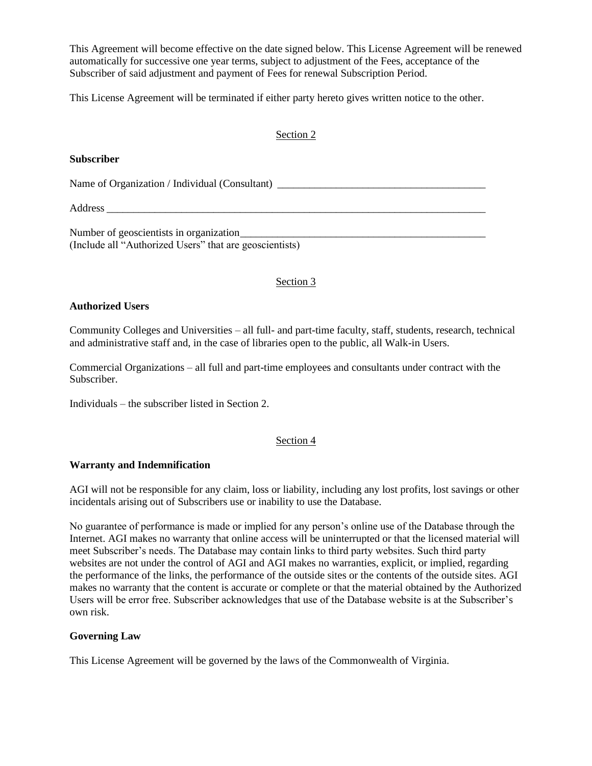This Agreement will become effective on the date signed below. This License Agreement will be renewed automatically for successive one year terms, subject to adjustment of the Fees, acceptance of the Subscriber of said adjustment and payment of Fees for renewal Subscription Period.

This License Agreement will be terminated if either party hereto gives written notice to the other.

#### Section 2

#### **Subscriber**

Name of Organization / Individual (Consultant) \_\_\_\_\_\_\_\_\_\_\_\_\_\_\_\_\_\_\_\_\_\_\_\_\_\_\_\_\_\_\_\_\_\_

Address \_\_\_\_\_\_\_\_\_\_\_\_\_\_\_\_\_\_\_\_\_\_\_\_\_\_\_\_\_\_\_\_\_\_\_\_\_\_\_\_\_\_\_\_\_\_\_\_\_\_\_\_\_\_\_\_\_\_\_\_\_\_\_\_\_\_\_\_\_\_\_

Number of geoscientists in organization\_\_\_\_\_\_\_\_\_\_\_\_\_\_\_\_\_\_\_\_\_\_\_\_\_\_\_\_\_\_\_\_\_\_\_\_\_\_\_\_\_\_\_\_\_\_ (Include all "Authorized Users" that are geoscientists)

# Section 3

#### **Authorized Users**

Community Colleges and Universities – all full- and part-time faculty, staff, students, research, technical and administrative staff and, in the case of libraries open to the public, all Walk-in Users.

Commercial Organizations – all full and part-time employees and consultants under contract with the Subscriber.

Individuals – the subscriber listed in Section 2.

# Section 4

#### **Warranty and Indemnification**

AGI will not be responsible for any claim, loss or liability, including any lost profits, lost savings or other incidentals arising out of Subscribers use or inability to use the Database.

No guarantee of performance is made or implied for any person's online use of the Database through the Internet. AGI makes no warranty that online access will be uninterrupted or that the licensed material will meet Subscriber's needs. The Database may contain links to third party websites. Such third party websites are not under the control of AGI and AGI makes no warranties, explicit, or implied, regarding the performance of the links, the performance of the outside sites or the contents of the outside sites. AGI makes no warranty that the content is accurate or complete or that the material obtained by the Authorized Users will be error free. Subscriber acknowledges that use of the Database website is at the Subscriber's own risk.

#### **Governing Law**

This License Agreement will be governed by the laws of the Commonwealth of Virginia.